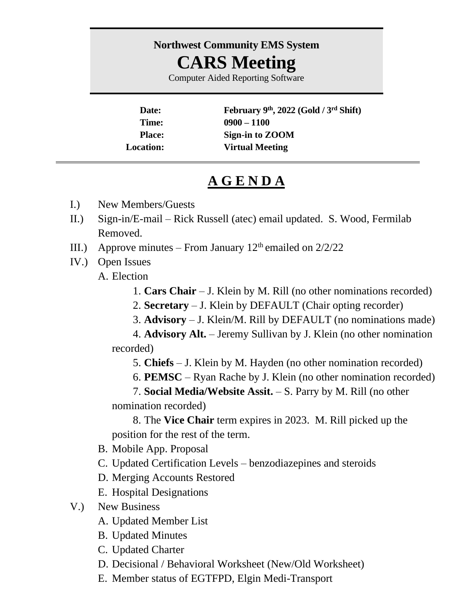## **Northwest Community EMS System CARS Meeting**

Computer Aided Reporting Software

**Date: February 9th, 2022 (Gold / 3 rd Shift) Time: 0900 – 1100 Place: Sign-in to ZOOM Location: Virtual Meeting**

## **A G E N D A**

- I.) New Members/Guests
- II.) Sign-in/E-mail Rick Russell (atec) email updated. S. Wood, Fermilab Removed.
- III.) Approve minutes From January  $12<sup>th</sup>$  emailed on  $2/2/22$
- IV.) Open Issues

A. Election

- 1. **Cars Chair** J. Klein by M. Rill (no other nominations recorded)
- 2. **Secretary** J. Klein by DEFAULT (Chair opting recorder)
- 3. **Advisory** J. Klein/M. Rill by DEFAULT (no nominations made)

4. **Advisory Alt.** – Jeremy Sullivan by J. Klein (no other nomination recorded)

- 5. **Chiefs** J. Klein by M. Hayden (no other nomination recorded)
- 6. **PEMSC** Ryan Rache by J. Klein (no other nomination recorded)

7. **Social Media/Website Assit.** – S. Parry by M. Rill (no other nomination recorded)

8. The **Vice Chair** term expires in 2023. M. Rill picked up the position for the rest of the term.

- B. Mobile App. Proposal
- C. Updated Certification Levels benzodiazepines and steroids
- D. Merging Accounts Restored
- E. Hospital Designations
- V.) New Business
	- A. Updated Member List
	- B. Updated Minutes
	- C. Updated Charter
	- D. Decisional / Behavioral Worksheet (New/Old Worksheet)
	- E. Member status of EGTFPD, Elgin Medi-Transport